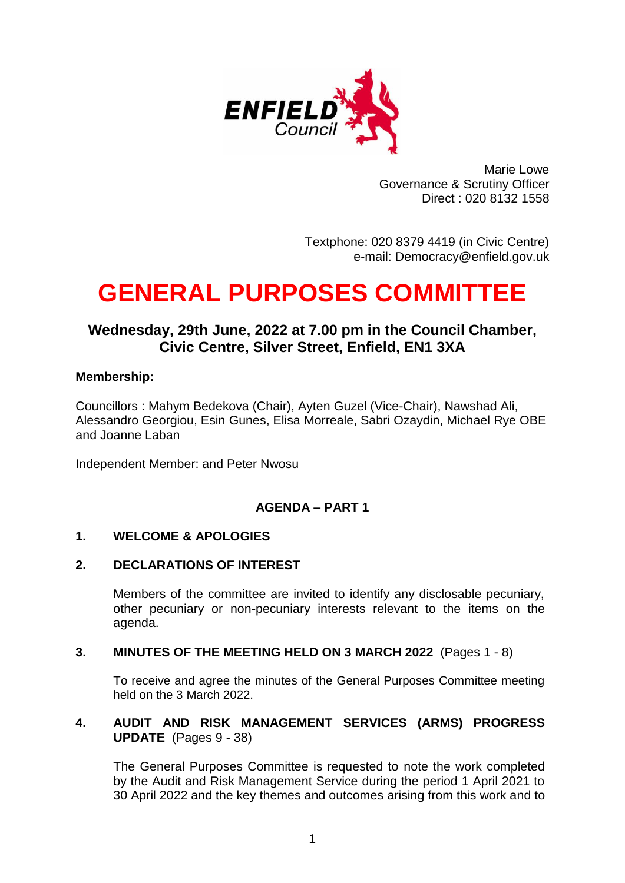

Marie Lowe Governance & Scrutiny Officer Direct : 020 8132 1558

Textphone: 020 8379 4419 (in Civic Centre) e-mail: Democracy@enfield.gov.uk

# **GENERAL PURPOSES COMMITTEE**

# **Wednesday, 29th June, 2022 at 7.00 pm in the Council Chamber, Civic Centre, Silver Street, Enfield, EN1 3XA**

### **Membership:**

Councillors : Mahym Bedekova (Chair), Ayten Guzel (Vice-Chair), Nawshad Ali, Alessandro Georgiou, Esin Gunes, Elisa Morreale, Sabri Ozaydin, Michael Rye OBE and Joanne Laban

Independent Member: and Peter Nwosu

## **AGENDA – PART 1**

#### **1. WELCOME & APOLOGIES**

#### **2. DECLARATIONS OF INTEREST**

Members of the committee are invited to identify any disclosable pecuniary, other pecuniary or non-pecuniary interests relevant to the items on the agenda.

#### **3. MINUTES OF THE MEETING HELD ON 3 MARCH 2022** (Pages 1 - 8)

To receive and agree the minutes of the General Purposes Committee meeting held on the 3 March 2022.

#### **4. AUDIT AND RISK MANAGEMENT SERVICES (ARMS) PROGRESS UPDATE** (Pages 9 - 38)

The General Purposes Committee is requested to note the work completed by the Audit and Risk Management Service during the period 1 April 2021 to 30 April 2022 and the key themes and outcomes arising from this work and to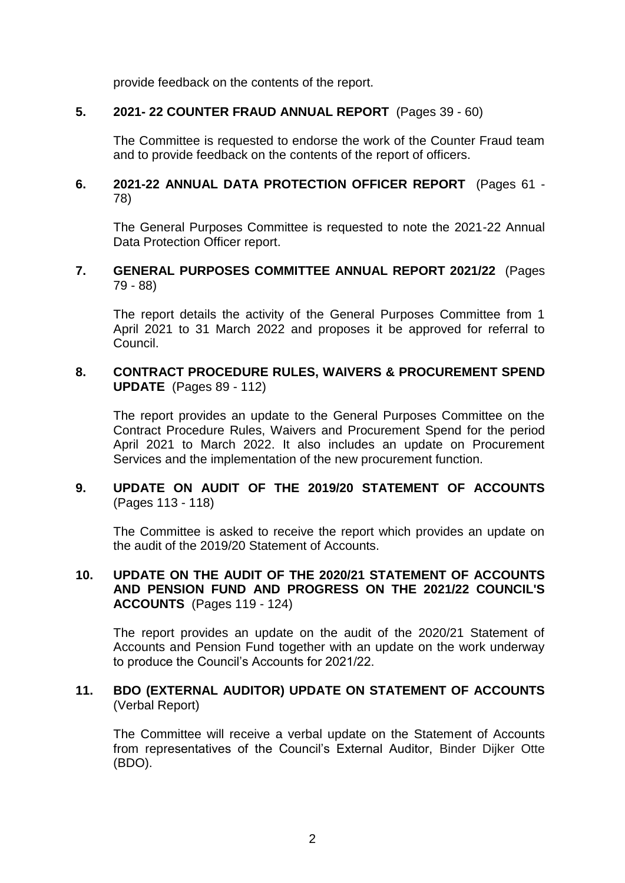provide feedback on the contents of the report.

#### **5. 2021- 22 COUNTER FRAUD ANNUAL REPORT** (Pages 39 - 60)

The Committee is requested to endorse the work of the Counter Fraud team and to provide feedback on the contents of the report of officers.

#### **6. 2021-22 ANNUAL DATA PROTECTION OFFICER REPORT** (Pages 61 - 78)

The General Purposes Committee is requested to note the 2021-22 Annual Data Protection Officer report.

#### **7. GENERAL PURPOSES COMMITTEE ANNUAL REPORT 2021/22** (Pages 79 - 88)

The report details the activity of the General Purposes Committee from 1 April 2021 to 31 March 2022 and proposes it be approved for referral to Council.

#### **8. CONTRACT PROCEDURE RULES, WAIVERS & PROCUREMENT SPEND UPDATE** (Pages 89 - 112)

The report provides an update to the General Purposes Committee on the Contract Procedure Rules, Waivers and Procurement Spend for the period April 2021 to March 2022. It also includes an update on Procurement Services and the implementation of the new procurement function.

### **9. UPDATE ON AUDIT OF THE 2019/20 STATEMENT OF ACCOUNTS**  (Pages 113 - 118)

The Committee is asked to receive the report which provides an update on the audit of the 2019/20 Statement of Accounts.

#### **10. UPDATE ON THE AUDIT OF THE 2020/21 STATEMENT OF ACCOUNTS AND PENSION FUND AND PROGRESS ON THE 2021/22 COUNCIL'S ACCOUNTS** (Pages 119 - 124)

The report provides an update on the audit of the 2020/21 Statement of Accounts and Pension Fund together with an update on the work underway to produce the Council's Accounts for 2021/22.

#### **11. BDO (EXTERNAL AUDITOR) UPDATE ON STATEMENT OF ACCOUNTS**  (Verbal Report)

The Committee will receive a verbal update on the Statement of Accounts from representatives of the Council's External Auditor, Binder Dijker Otte (BDO).